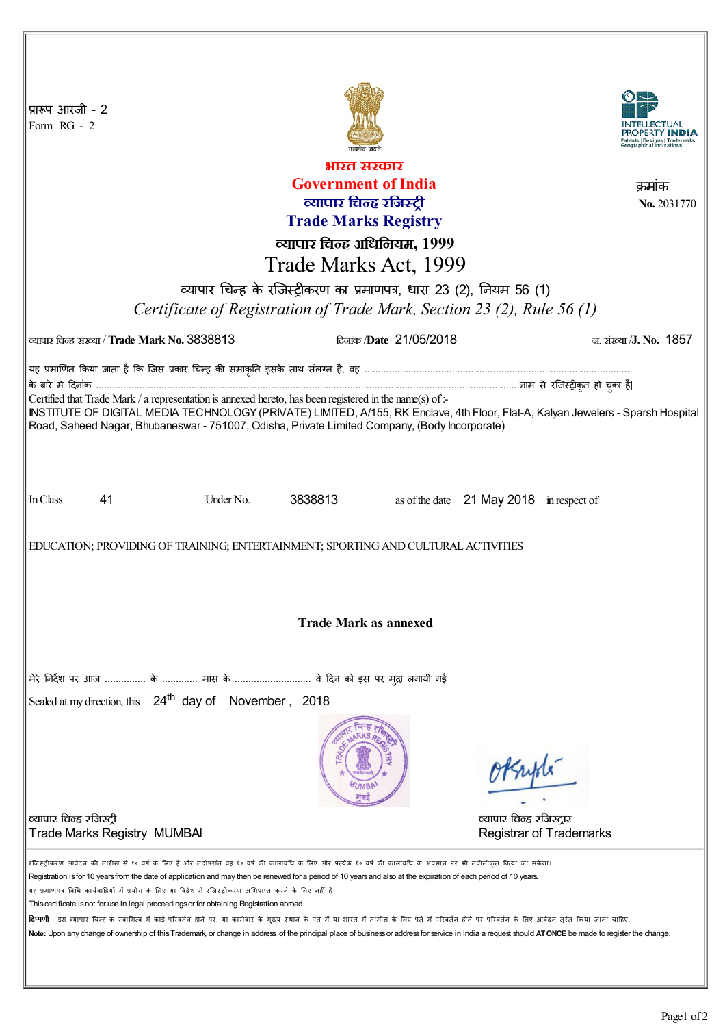| प्रारूप आरजी - 2<br>Form RG - 2                                                                                                                                                                                                                                                 |                                               |           |         |                         |                                          |                                |
|---------------------------------------------------------------------------------------------------------------------------------------------------------------------------------------------------------------------------------------------------------------------------------|-----------------------------------------------|-----------|---------|-------------------------|------------------------------------------|--------------------------------|
| भारत सरकार                                                                                                                                                                                                                                                                      |                                               |           |         |                         |                                          |                                |
| <b>Government of India</b><br>क्रमाक                                                                                                                                                                                                                                            |                                               |           |         |                         |                                          |                                |
| व्यापार चिन्ह रजिस्ट्री                                                                                                                                                                                                                                                         |                                               |           |         |                         |                                          | No. 2031770                    |
| <b>Trade Marks Registry</b>                                                                                                                                                                                                                                                     |                                               |           |         |                         |                                          |                                |
| व्यापार चिन्ह अधिनियम, 1999                                                                                                                                                                                                                                                     |                                               |           |         |                         |                                          |                                |
| Trade Marks Act, 1999                                                                                                                                                                                                                                                           |                                               |           |         |                         |                                          |                                |
| व्यापार चिन्ह के रजिस्ट्रीकरण का प्रमाणपत्र, धारा 23 (2), नियम 56 (1)                                                                                                                                                                                                           |                                               |           |         |                         |                                          |                                |
| Certificate of Registration of Trade Mark, Section 23 (2), Rule 56 (1)                                                                                                                                                                                                          |                                               |           |         |                         |                                          |                                |
|                                                                                                                                                                                                                                                                                 |                                               |           |         |                         |                                          |                                |
|                                                                                                                                                                                                                                                                                 | ल्यापार चिन्ह संख्या / Trade Mark No. 3838813 |           |         | दिलांक /Date 21/05/2018 |                                          | ज. संख्या / <b>J. No. 1857</b> |
| यह प्रमाणित किया जाता है कि जिस प्रकार चिन्ह की समाकृति इसके साथ संलग्न है, वह …………………………………………………………………………………                                                                                                                                                                  |                                               |           |         |                         |                                          |                                |
| Certified that Trade Mark / a representation is annexed hereto, has been registered in the name(s) of :-                                                                                                                                                                        |                                               |           |         |                         |                                          |                                |
| INSTITUTE OF DIGITAL MEDIA TECHNOLOGY (PRIVATE) LIMITED, A/155, RK Enclave, 4th Floor, Flat-A, Kalyan Jewelers - Sparsh Hospital                                                                                                                                                |                                               |           |         |                         |                                          |                                |
| Road, Saheed Nagar, Bhubaneswar - 751007, Odisha, Private Limited Company, (Body Incorporate)                                                                                                                                                                                   |                                               |           |         |                         |                                          |                                |
|                                                                                                                                                                                                                                                                                 |                                               |           |         |                         |                                          |                                |
|                                                                                                                                                                                                                                                                                 |                                               |           |         |                         |                                          |                                |
| In Class                                                                                                                                                                                                                                                                        | 41                                            | Under No. | 3838813 |                         | as of the date 21 May 2018 in respect of |                                |
|                                                                                                                                                                                                                                                                                 |                                               |           |         |                         |                                          |                                |
| EDUCATION; PROVIDING OF TRAINING; ENTERTAINMENT; SPORTING AND CULTURAL ACTIVITIES                                                                                                                                                                                               |                                               |           |         |                         |                                          |                                |
|                                                                                                                                                                                                                                                                                 |                                               |           |         |                         |                                          |                                |
|                                                                                                                                                                                                                                                                                 |                                               |           |         |                         |                                          |                                |
|                                                                                                                                                                                                                                                                                 |                                               |           |         |                         |                                          |                                |
| <b>Trade Mark as annexed</b>                                                                                                                                                                                                                                                    |                                               |           |         |                         |                                          |                                |
|                                                                                                                                                                                                                                                                                 |                                               |           |         |                         |                                          |                                |
| मेरे निर्देश पर आज  के  मास के  वे दिन को इस पर मुद्रा लगायी गई                                                                                                                                                                                                                 |                                               |           |         |                         |                                          |                                |
|                                                                                                                                                                                                                                                                                 |                                               |           |         |                         |                                          |                                |
| Sealed at my direction, this 24 <sup>th</sup> day of November, 2018                                                                                                                                                                                                             |                                               |           |         |                         |                                          |                                |
|                                                                                                                                                                                                                                                                                 |                                               |           |         |                         | Huple-                                   |                                |
|                                                                                                                                                                                                                                                                                 |                                               |           |         |                         |                                          |                                |
| व्यापार चिन्ह रजिस्ट्री                                                                                                                                                                                                                                                         |                                               |           |         |                         | व्यापार चिन्ह रजिस्ट्रार                 |                                |
|                                                                                                                                                                                                                                                                                 | <b>Trade Marks Registry MUMBAI</b>            |           |         |                         | <b>Registrar of Trademarks</b>           |                                |
| रजिस्ट्रीकरण आवेदन की तारीख से १० वर्ष के लिए है और तदोपरांत वह १० वर्ष की कालावधि के परि पर बैंकी कालावधि के अवसान पर भी नवीनीकृत किया जा सकेगा।                                                                                                                               |                                               |           |         |                         |                                          |                                |
| Registration is for 10 years from the date of application and may then be renewed for a period of 10 years and also at the expiration of each period of 10 years.<br>यह प्रमाणपत्र विधि कार्यवाहियों में प्रयोग के लिए या विदेश में रजिस्ट्रीकरण अभिप्राप्त करने के लिए नहीं है |                                               |           |         |                         |                                          |                                |
| This certificate is not for use in legal proceedings or for obtaining Registration abroad.                                                                                                                                                                                      |                                               |           |         |                         |                                          |                                |
| <b>टिप्पणी</b> - इस व्यापार चिन्ह के स्वामित्व में कोई परिवर्तन होने पर, या कारोवार के मुख्य स्थान के पार पत्र में पर पति होने पर परिवर्तन के लिए आवेदन तुरंत किया जाना चाहिए.                                                                                                  |                                               |           |         |                         |                                          |                                |
| Note: Upon any change of ownership of this Trademark, or change in address, of the principal place of business or address for service in India a request should ATONCE be made to register the change.                                                                          |                                               |           |         |                         |                                          |                                |
|                                                                                                                                                                                                                                                                                 |                                               |           |         |                         |                                          |                                |
|                                                                                                                                                                                                                                                                                 |                                               |           |         |                         |                                          |                                |

 $\parallel$